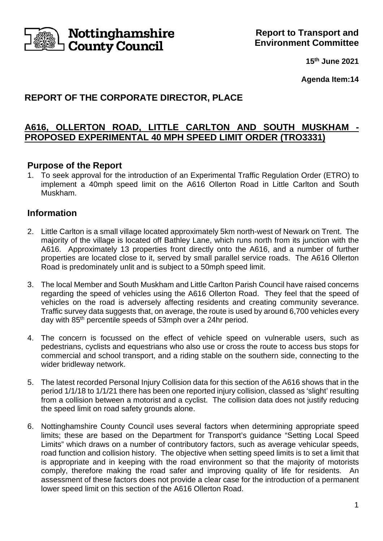

**15th June 2021**

**Agenda Item:14**

# **REPORT OF THE CORPORATE DIRECTOR, PLACE**

# **A616, OLLERTON ROAD, LITTLE CARLTON AND SOUTH MUSKHAM - PROPOSED EXPERIMENTAL 40 MPH SPEED LIMIT ORDER (TRO3331)**

# **Purpose of the Report**

1. To seek approval for the introduction of an Experimental Traffic Regulation Order (ETRO) to implement a 40mph speed limit on the A616 Ollerton Road in Little Carlton and South Muskham.

# **Information**

- 2. Little Carlton is a small village located approximately 5km north-west of Newark on Trent. The majority of the village is located off Bathley Lane, which runs north from its junction with the A616. Approximately 13 properties front directly onto the A616, and a number of further properties are located close to it, served by small parallel service roads. The A616 Ollerton Road is predominately unlit and is subject to a 50mph speed limit.
- 3. The local Member and South Muskham and Little Carlton Parish Council have raised concerns regarding the speed of vehicles using the A616 Ollerton Road. They feel that the speed of vehicles on the road is adversely affecting residents and creating community severance. Traffic survey data suggests that, on average, the route is used by around 6,700 vehicles every day with 85<sup>th</sup> percentile speeds of 53mph over a 24hr period.
- 4. The concern is focussed on the effect of vehicle speed on vulnerable users, such as pedestrians, cyclists and equestrians who also use or cross the route to access bus stops for commercial and school transport, and a riding stable on the southern side, connecting to the wider bridleway network.
- 5. The latest recorded Personal Injury Collision data for this section of the A616 shows that in the period 1/1/18 to 1/1/21 there has been one reported injury collision, classed as 'slight' resulting from a collision between a motorist and a cyclist. The collision data does not justify reducing the speed limit on road safety grounds alone.
- 6. Nottinghamshire County Council uses several factors when determining appropriate speed limits; these are based on the Department for Transport's guidance "Setting Local Speed Limits" which draws on a number of contributory factors, such as average vehicular speeds, road function and collision history. The objective when setting speed limits is to set a limit that is appropriate and in keeping with the road environment so that the majority of motorists comply, therefore making the road safer and improving quality of life for residents. assessment of these factors does not provide a clear case for the introduction of a permanent lower speed limit on this section of the A616 Ollerton Road.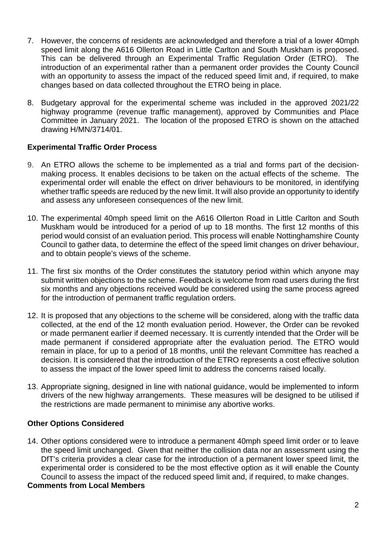- 7. However, the concerns of residents are acknowledged and therefore a trial of a lower 40mph speed limit along the A616 Ollerton Road in Little Carlton and South Muskham is proposed. This can be delivered through an Experimental Traffic Regulation Order (ETRO). The introduction of an experimental rather than a permanent order provides the County Council with an opportunity to assess the impact of the reduced speed limit and, if required, to make changes based on data collected throughout the ETRO being in place.
- 8. Budgetary approval for the experimental scheme was included in the approved 2021/22 highway programme (revenue traffic management), approved by Communities and Place Committee in January 2021. The location of the proposed ETRO is shown on the attached drawing H/MN/3714/01.

### **Experimental Traffic Order Process**

- 9. An ETRO allows the scheme to be implemented as a trial and forms part of the decisionmaking process. It enables decisions to be taken on the actual effects of the scheme. The experimental order will enable the effect on driver behaviours to be monitored, in identifying whether traffic speeds are reduced by the new limit. It will also provide an opportunity to identify and assess any unforeseen consequences of the new limit.
- 10. The experimental 40mph speed limit on the A616 Ollerton Road in Little Carlton and South Muskham would be introduced for a period of up to 18 months. The first 12 months of this period would consist of an evaluation period. This process will enable Nottinghamshire County Council to gather data, to determine the effect of the speed limit changes on driver behaviour, and to obtain people's views of the scheme.
- 11. The first six months of the Order constitutes the statutory period within which anyone may submit written objections to the scheme. Feedback is welcome from road users during the first six months and any objections received would be considered using the same process agreed for the introduction of permanent traffic regulation orders.
- 12. It is proposed that any objections to the scheme will be considered, along with the traffic data collected, at the end of the 12 month evaluation period. However, the Order can be revoked or made permanent earlier if deemed necessary. It is currently intended that the Order will be made permanent if considered appropriate after the evaluation period. The ETRO would remain in place, for up to a period of 18 months, until the relevant Committee has reached a decision. It is considered that the introduction of the ETRO represents a cost effective solution to assess the impact of the lower speed limit to address the concerns raised locally.
- 13. Appropriate signing, designed in line with national guidance, would be implemented to inform drivers of the new highway arrangements. These measures will be designed to be utilised if the restrictions are made permanent to minimise any abortive works.

### **Other Options Considered**

14. Other options considered were to introduce a permanent 40mph speed limit order or to leave the speed limit unchanged. Given that neither the collision data nor an assessment using the DfT's criteria provides a clear case for the introduction of a permanent lower speed limit, the experimental order is considered to be the most effective option as it will enable the County Council to assess the impact of the reduced speed limit and, if required, to make changes.

#### **Comments from Local Members**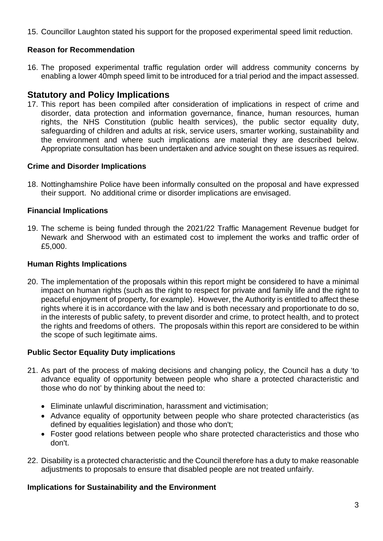15. Councillor Laughton stated his support for the proposed experimental speed limit reduction.

## **Reason for Recommendation**

16. The proposed experimental traffic regulation order will address community concerns by enabling a lower 40mph speed limit to be introduced for a trial period and the impact assessed.

# **Statutory and Policy Implications**

17. This report has been compiled after consideration of implications in respect of crime and disorder, data protection and information governance, finance, human resources, human rights, the NHS Constitution (public health services), the public sector equality duty, safeguarding of children and adults at risk, service users, smarter working, sustainability and the environment and where such implications are material they are described below. Appropriate consultation has been undertaken and advice sought on these issues as required.

## **Crime and Disorder Implications**

18. Nottinghamshire Police have been informally consulted on the proposal and have expressed their support. No additional crime or disorder implications are envisaged.

## **Financial Implications**

19. The scheme is being funded through the 2021/22 Traffic Management Revenue budget for Newark and Sherwood with an estimated cost to implement the works and traffic order of £5,000.

## **Human Rights Implications**

20. The implementation of the proposals within this report might be considered to have a minimal impact on human rights (such as the right to respect for private and family life and the right to peaceful enjoyment of property, for example). However, the Authority is entitled to affect these rights where it is in accordance with the law and is both necessary and proportionate to do so, in the interests of public safety, to prevent disorder and crime, to protect health, and to protect the rights and freedoms of others. The proposals within this report are considered to be within the scope of such legitimate aims.

### **Public Sector Equality Duty implications**

- 21. As part of the process of making decisions and changing policy, the Council has a duty 'to advance equality of opportunity between people who share a protected characteristic and those who do not' by thinking about the need to:
	- Eliminate unlawful discrimination, harassment and victimisation;
	- Advance equality of opportunity between people who share protected characteristics (as defined by equalities legislation) and those who don't;
	- Foster good relations between people who share protected characteristics and those who don't.
- 22. Disability is a protected characteristic and the Council therefore has a duty to make reasonable adjustments to proposals to ensure that disabled people are not treated unfairly.

## **Implications for Sustainability and the Environment**